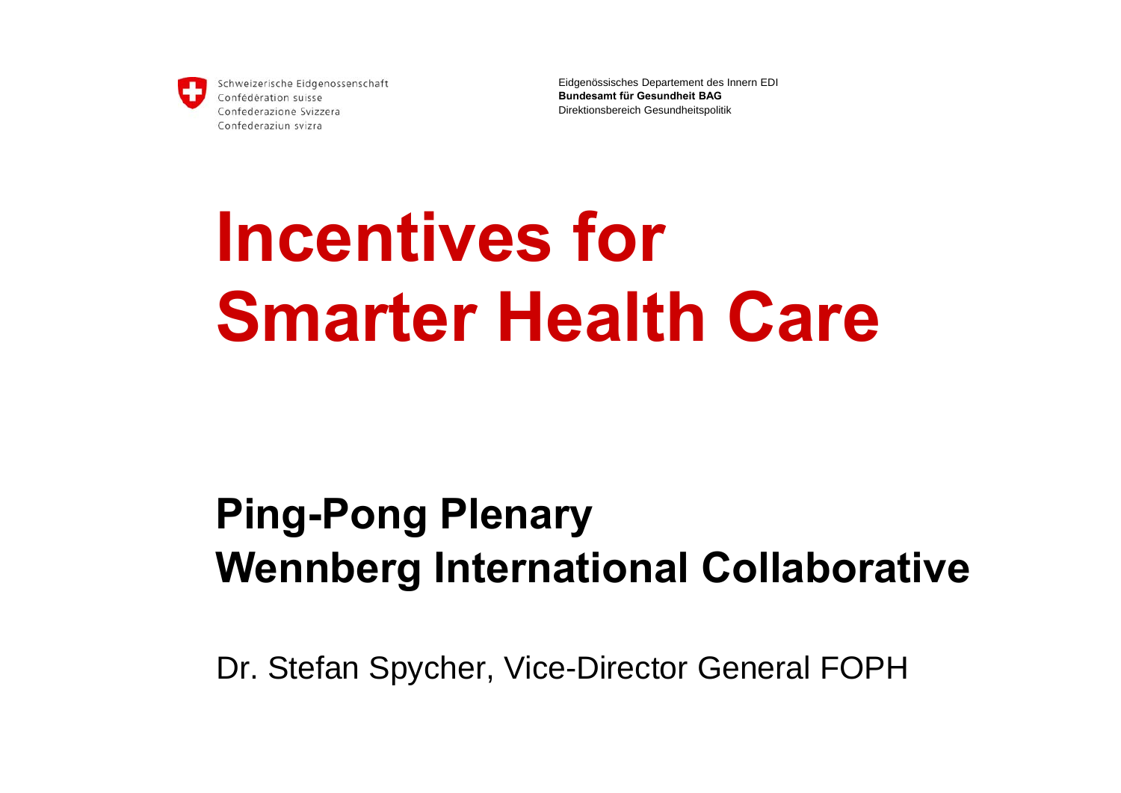

Eidgenössisches Departement des Innern EDI **Bundesamt für Gesundheit BAG**Direktionsbereich Gesundheitspolitik

# **Incentives for Smarter Health Care**

## **Ping-Pong Plenary Wennberg International Collaborative**

Dr. Stefan Spycher, Vice-Director General FOPH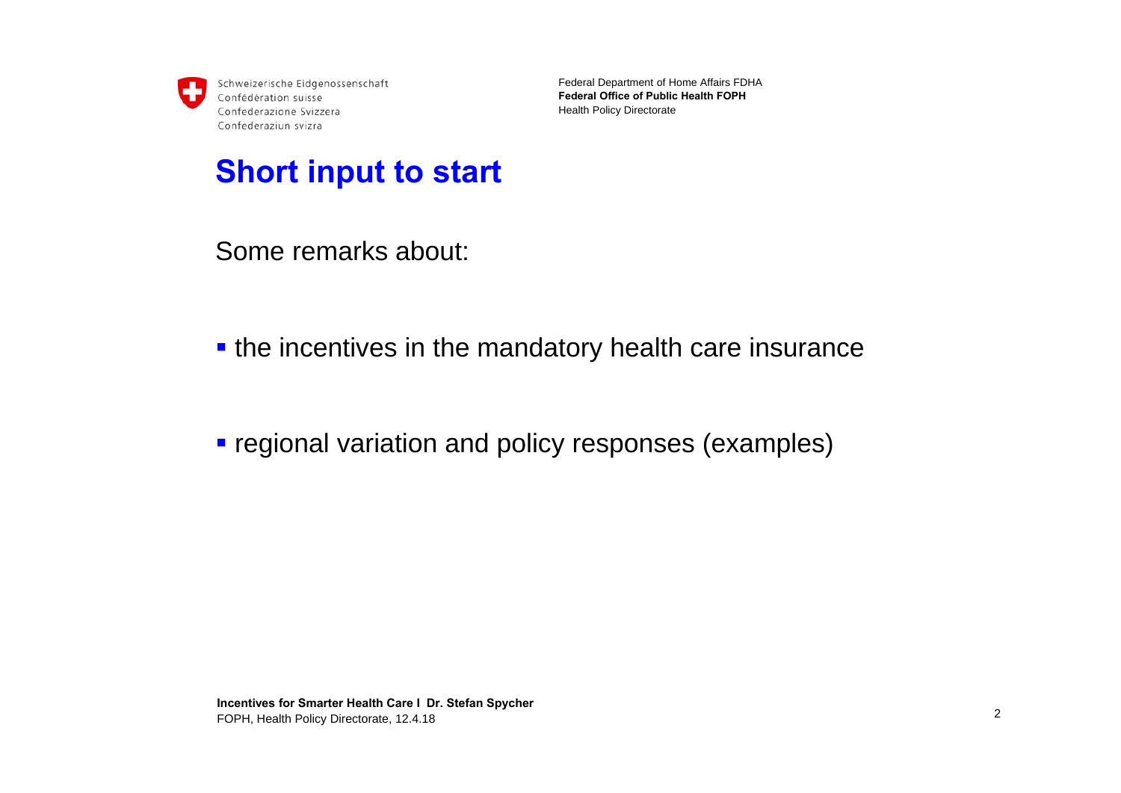Federal Department of Home Affairs FDHA **Federal Office of Public Health FOPH**Health Policy Directorate

#### **Short input to start**

Some remarks about:

- **the incentives in the mandatory health care insurance**
- **regional variation and policy responses (examples)**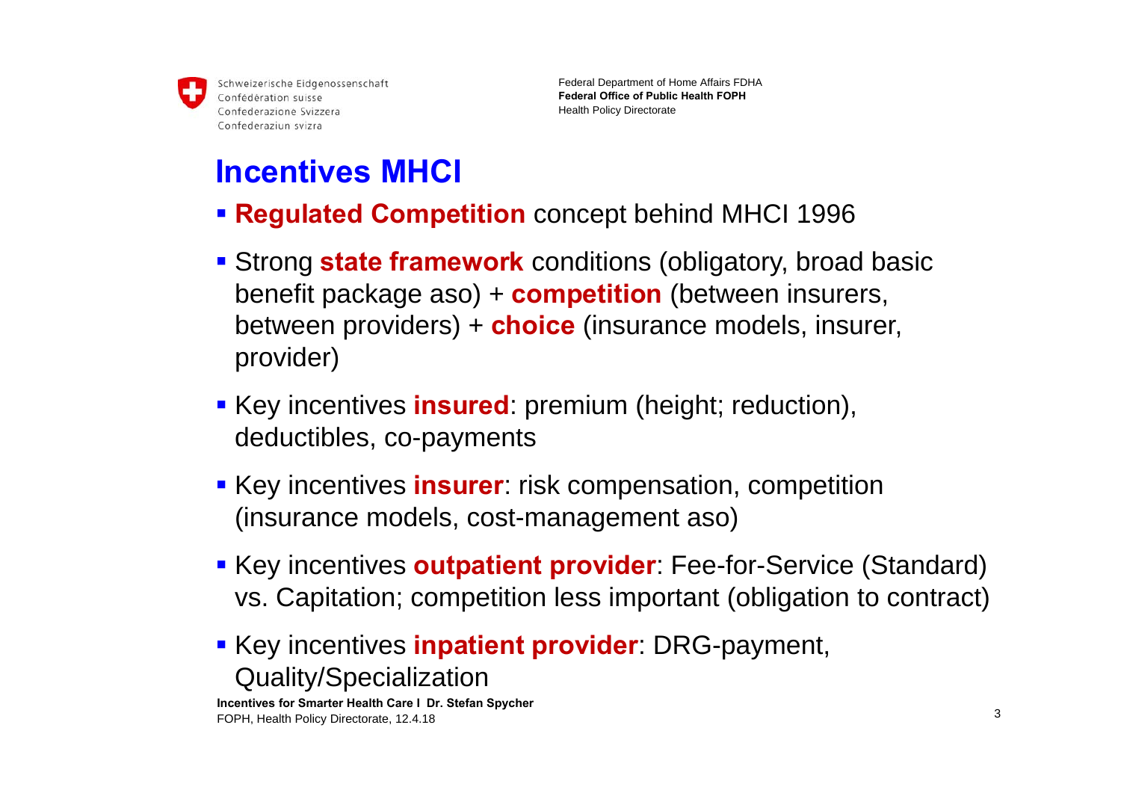

Federal Department of Home Affairs FDHA **Federal Office of Public Health FOPH**Health Policy Directorate

### **Incentives MHCI**

- **Regulated Competition** concept behind MHCI 1996
- Strong **state framework** conditions (obligatory, broad basic benefit package aso) + **competition** (between insurers, between providers) + **choice** (insurance models, insurer, provider)
- **Key incentives insured:** premium (height; reduction), deductibles, co-payments
- **Key incentives insurer**: risk compensation, competition (insurance models, cost-management aso)
- **Key incentives outpatient provider**: Fee-for-Service (Standard) vs. Capitation; competition less important (obligation to contract)
- **Example 7 Key incentives inpatient provider:** DRG-payment, Quality/Specialization

**Incentives for Smarter Health Care І Dr. Stefan Spycher** FOPH, Health Policy Directorate, 12.4.18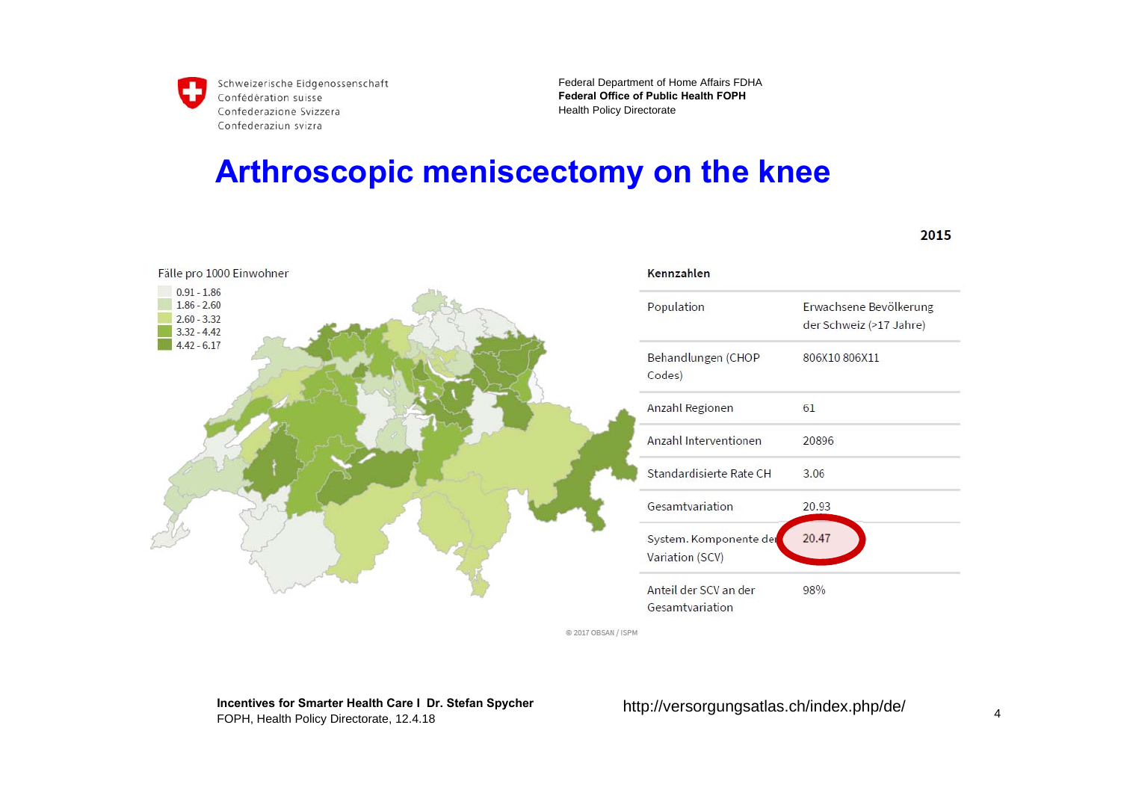Federal Department of Home Affairs FDHA **Federal Office of Public Health FOPH**Health Policy Directorate

#### **Arthroscopic meniscectomy on the knee**



@ 2017 OBSAN / ISPM

**Incentives for Smarter Health Care І Dr. Stefan Spycher** FOPH, Health Policy Directorate, 12.4.18

http://versorgungsatlas.ch/index.php/de/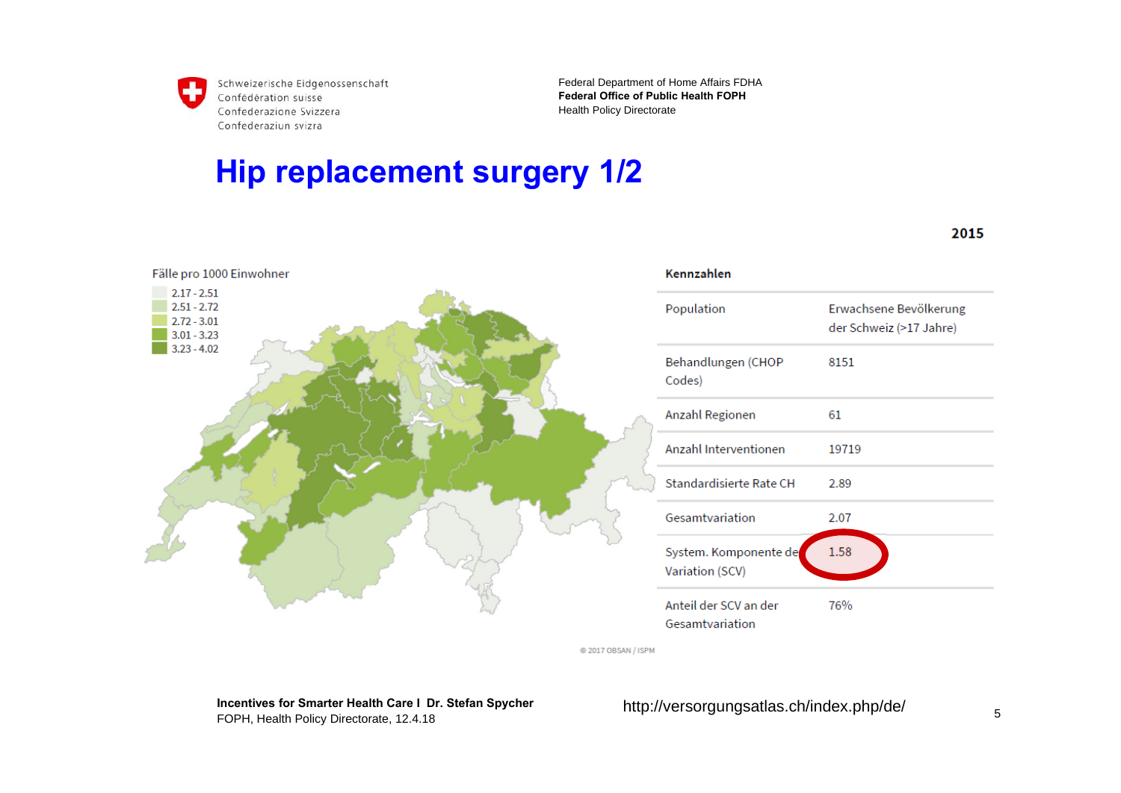Fälle pro 1000 Einwohner

 $2.17 - 2.51$  $2.51 - 2.72$ 

 $2.72 - 3.01$ 

 $3.01 - 3.23$  $3.23 - 4.02$  Federal Department of Home Affairs FDHA **Federal Office of Public Health FOPH**Health Policy Directorate

#### **Hip replacement surgery 1/2**

Kennzahlen Erwachsene Bevölkerung Population der Schweiz (>17 Jahre) Behandlungen (CHOP 8151 Codes) Anzahl Regionen 61 Anzahl Interventionen 19719 Standardisierte Rate CH 2.89 Gesamtvariation 2.07 1.58 System. Komponente de Variation (SCV) Anteil der SCV an der 76% Gesamtvariation

@ 2017 OBSAN / ISPM

**Incentives for Smarter Health Care І Dr. Stefan Spycher** FOPH, Health Policy Directorate, 12.4.18

http://versorgungsatlas.ch/index.php/de/

2015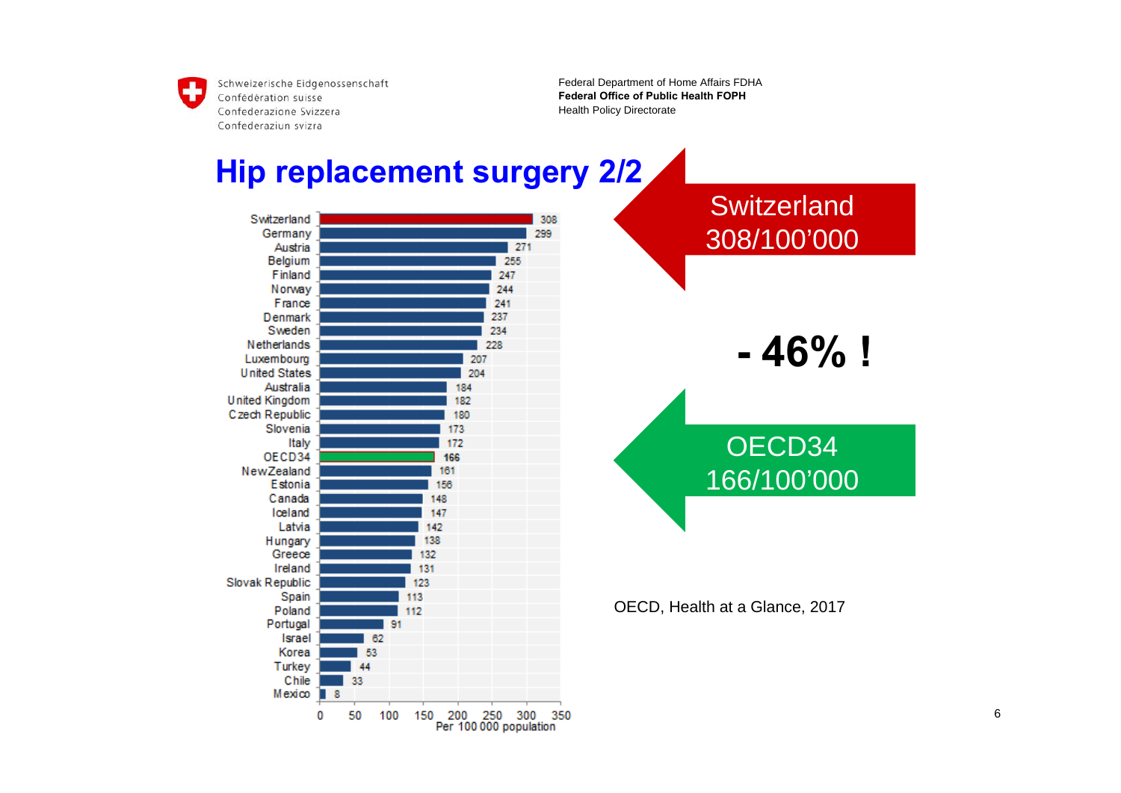Federal Department of Home Affairs FDHA **Federal Office of Public Health FOPH**Health Policy Directorate

#### **Hip replacement surgery 2/2**

Switzerland 308 Germany 299 Austria 271 Belgium 255 Finland 247 244 Norway 241 France 237 Denmark Sweden 234 Netherlands 228 Luxembourg 207 **United States** 204 Australia 184 **United Kingdom** 182 Czech Republic 180 Slovenia 173 Italy 172 OECD34 166 NewZealand 161 Estonia 156 Canada 148 Iceland 147 Latvia 142 138 Hungary Greece 132 Ireland 131 Slovak Republic 123 Spain 113 Poland 112 Portugal 91 Israel 62 Korea 53 Turkey  $\overline{A}$ Chile 33 **Incentives for Smarter Health Care І Dr. Stefan Spycher**  $0\quad 50\quad 100\quad 150$ 



OECD, Health at a Glance, 2017